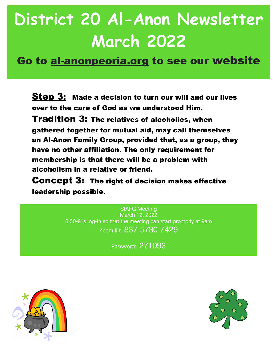## **District 20 Al-Anon Newsletter March 2022**

Go to al-anonpeoria.org to see our website

**Step 3:** Made a decision to turn our will and our lives over to the care of God as we understood Him. Tradition 3: The relatives of alcoholics, when gathered together for mutual aid, may call themselves an Al-Anon Family Group, provided that, as a group, they have no other affiliation. The only requirement for membership is that there will be a problem with alcoholism in a relative or friend.

**Concept 3: The right of decision makes effective** leadership possible.

> SIAFG Meeting March 12, 2022 8:30-9 is log-in so that the meeting can start promptly at 9am Zoom ID: 837 5730 7429

> > Password: 271093



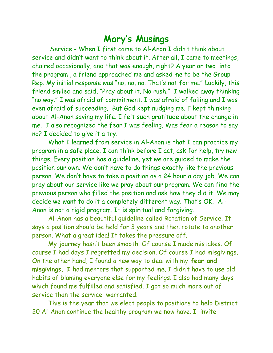## **Mary's Musings**

 Service - When I first came to Al-Anon I didn't think about service and didn't want to think about it. After all, I came to meetings, chaired occasionally, and that was enough, right? A year or two into the program , a friend approached me and asked me to be the Group Rep. My initial response was "no, no, no. That's not for me." Luckily, this friend smiled and said, "Pray about it. No rush." I walked away thinking "no way." I was afraid of commitment. I was afraid of failing and I was even afraid of succeeding. But God kept nudging me. I kept thinking about Al-Anon saving my life. I felt such gratitude about the change in me. I also recognized the fear I was feeling. Was fear a reason to say no? I decided to give it a try.

What I learned from service in Al-Anon is that I can practice my program in a safe place. I can think before I act, ask for help, try new things. Every position has a guideline, yet we are guided to make the position our own. We don't have to do things exactly like the previous person. We don't have to take a position as a 24 hour a day job. We can pray about our service like we pray about our program. We can find the previous person who filled the position and ask how they did it. We may decide we want to do it a completely different way. That's OK. Al-Anon is not a rigid program. It is spiritual and forgiving.

Al-Anon has a beautiful guideline called Rotation of Service. It says a position should be held for 3 years and then rotate to another person. What a great idea! It takes the pressure off.

My journey hasn't been smooth. Of course I made mistakes. Of course I had days I regretted my decision. Of course I had misgivings. On the other hand, I found a new way to deal with my **fear and misgivings. I** had mentors that supported me. I didn't have to use old habits of blaming everyone else for my feelings. I also had many days which found me fulfilled and satisfied. I got so much more out of service than the service warranted.

This is the year that we elect people to positions to help District 20 Al-Anon continue the healthy program we now have. I invite